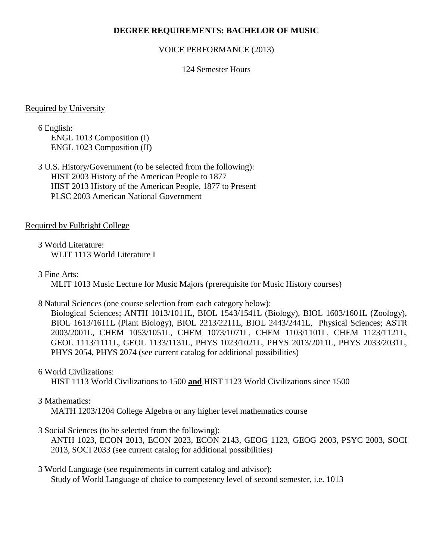## **DEGREE REQUIREMENTS: BACHELOR OF MUSIC**

### VOICE PERFORMANCE (2013)

### 124 Semester Hours

#### Required by University

6 English: ENGL 1013 Composition (I) ENGL 1023 Composition (II)

3 U.S. History/Government (to be selected from the following): HIST 2003 History of the American People to 1877 HIST 2013 History of the American People, 1877 to Present PLSC 2003 American National Government

## Required by Fulbright College

3 World Literature: WLIT 1113 World Literature I

3 Fine Arts:

MLIT 1013 Music Lecture for Music Majors (prerequisite for Music History courses)

### 8 Natural Sciences (one course selection from each category below):

Biological Sciences; ANTH 1013/1011L, BIOL 1543/1541L (Biology), BIOL 1603/1601L (Zoology), BIOL 1613/1611L (Plant Biology), BIOL 2213/2211L, BIOL 2443/2441L, Physical Sciences; ASTR 2003/2001L, CHEM 1053/1051L, CHEM 1073/1071L, CHEM 1103/1101L, CHEM 1123/1121L, GEOL 1113/1111L, GEOL 1133/1131L, PHYS 1023/1021L, PHYS 2013/2011L, PHYS 2033/2031L, PHYS 2054, PHYS 2074 (see current catalog for additional possibilities)

## 6 World Civilizations:

HIST 1113 World Civilizations to 1500 **and** HIST 1123 World Civilizations since 1500

## 3 Mathematics:

MATH 1203/1204 College Algebra or any higher level mathematics course

## 3 Social Sciences (to be selected from the following):

ANTH 1023, ECON 2013, ECON 2023, ECON 2143, GEOG 1123, GEOG 2003, PSYC 2003, SOCI 2013, SOCI 2033 (see current catalog for additional possibilities)

3 World Language (see requirements in current catalog and advisor): Study of World Language of choice to competency level of second semester, i.e. 1013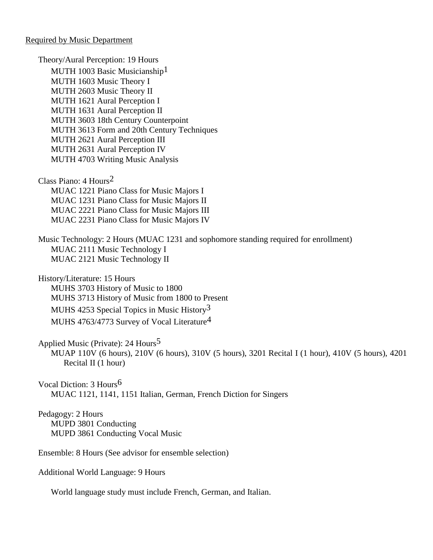Required by Music Department

Theory/Aural Perception: 19 Hours MUTH 1003 Basic Musicianship<sup>1</sup> MUTH 1603 Music Theory I MUTH 2603 Music Theory II MUTH 1621 Aural Perception I MUTH 1631 Aural Perception II MUTH 3603 18th Century Counterpoint MUTH 3613 Form and 20th Century Techniques MUTH 2621 Aural Perception III MUTH 2631 Aural Perception IV MUTH 4703 Writing Music Analysis Class Piano: 4 Hours2

MUAC 1221 Piano Class for Music Majors I MUAC 1231 Piano Class for Music Majors II MUAC 2221 Piano Class for Music Majors III MUAC 2231 Piano Class for Music Majors IV

Music Technology: 2 Hours (MUAC 1231 and sophomore standing required for enrollment) MUAC 2111 Music Technology I MUAC 2121 Music Technology II

History/Literature: 15 Hours MUHS 3703 History of Music to 1800 MUHS 3713 History of Music from 1800 to Present MUHS 4253 Special Topics in Music History3 MUHS 4763/4773 Survey of Vocal Literature4

Applied Music (Private): 24 Hours5

MUAP 110V (6 hours), 210V (6 hours), 310V (5 hours), 3201 Recital I (1 hour), 410V (5 hours), 4201 Recital II (1 hour)

Vocal Diction: 3 Hours6 MUAC 1121, 1141, 1151 Italian, German, French Diction for Singers

Pedagogy: 2 Hours MUPD 3801 Conducting MUPD 3861 Conducting Vocal Music

Ensemble: 8 Hours (See advisor for ensemble selection)

Additional World Language: 9 Hours

World language study must include French, German, and Italian.